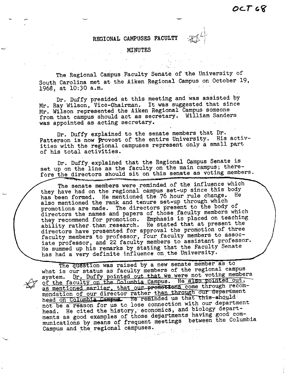l.

## **REGIONAL CAMPUSES FACULTY**

MINUTES

The Regional Campus Faculty Senate of the University of South Carolina met at the Aiken Regional Campus on October 19, 1968, at 10:30 a.m. 1968, at 10:30 a.m.

Dr. Duffy presided at this meeting and was assisted by Mr. Ray Wilson, Vice-Ohairman. It was suggested that since Mr. Wilson represented.the Aiken Regional Campus someone from that campus should act as secretary. William Sanders was appointed as acting secretary.

Dr. Duffy explained to the senate members that Dr. Patterson is now provost of the entire University. His activities with the regional campuses represent only a small part of his total activities.

Dr. Duffy explained that the Regional Campus Senate is set up on the line as the faculty on the main campus; therefore the directors should sit on this senate as voting members.

The senate members were reminded of the influence which they have had on the regional campus set-up since this body has been formed. He mentioned the 76 hour rule change. He also mentioned the rank and tenure set-up through which promotions are made. The directors present to the body of directors the names and papers of those faculty members which they recommend for promotion. Emphasis is placed on teaching ability rather-than research. He stated that at present the directors have presented for approval the promotion of three faculty members to professor, four faculty members to associate professor, and 22 faculty members to assistant professor. He summed up his remarks by.stating that the Faculty Senate has had a very definite influence on the University.

The question was raised by a new senate member as to what is our status as faculty members of the regional campus system. Dr. Duffy pointed out that we were not voting members of the faculty on the Columbia Campus. He also pointed out, as mentioned earlier, that our promotions come through recommendation of our director rather than through our department head on Columbia Campus. He reminded us that this should not be a reason for us to lose connection with our department head. He cited the history, economics, and biology departments as good examples of those departments having good communications by.means of frequent meetings between the Columbia Campus and the regional campuses.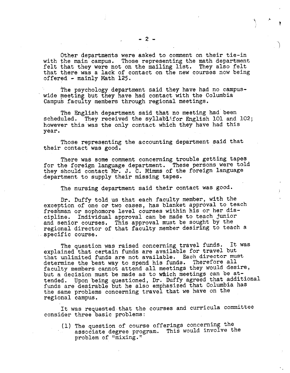Other departments were asked to comment on their tie-in with the main campus. Those representing the math department felt that they were not on the mailing list. They also felt that there was a lack of contact on the new courses now being offered - mainly Math 125.

The psychology department said they have had no campus-<br>wide meeting but they have had contact with the Columbia Campus faculty members through regional meetings.

The English department said that no meeting had been scheduled. They received the syllablifor English 101 and They received the syllablifor English 101 and 102; however this was the only contact which they have had this year.

Those representing the accounting department said that their contact was good.

There was some comment concerning trouble getting tapes for the foreign language department. These persons were told they should contact Mr. J. C. Mimms of the foreign language department to supply their missing tapes.

The nursing department said their contact was good.

Dr. Duffy told us that each faculty member, with the exception of one or two cases, has blanket approval to teach freshman or sophomore level courses within his or her discipline. Individual approval can be made to teach junior and senior courses. This approval must be sought by the regional director of that faculty member desiring to teach a specific course.

The question was raised concerning travel funds. It was explained that certain funds are available for travel but that unlimited funds are not available. Each director must determine the best way to spend his funds. Therefore all faculty members cannot attend all meetings they would desire, but a decision must be made as to which meetings can be attended. Upon being questioned, Dr. Duffy agreed that additional funds are desirable but he also emphasized that Columbia has the same problems concerning travel that we have on the regional campus.

It was requested that the courses and curricula committee consider three basic problems:

( 1) The question of course offerings concerning the associate degree program. This would involve the problem of "mixing."

'·

..

'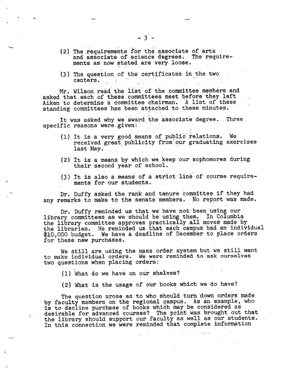- (2) The requirements for the associate of arts and associate of science degrees. The requirements as now stated are very loose.
- (3) The question of the certificates in the two centers.

Mr. Wilson read the list of the committee members and asked that each of these committees meet before they left Aiken to determine a committee chairman. A list of these standing committees has been attached to these minutes.

It was asked why we award the associate degree. Three specific reasons were given:

- (1) It is a very good means of public relations. We received great publicity from our graduating exercises received great publicity from 5<br>last May.
- ( 2) It is a means by which we keep our sophomores during their second year of school.
- (3) It is also a means of a strict line of course requirements for our students.

Dr. Duffy asked the rank and tenure committee if they had any remarks to make to the senate members. No report was made.

Dr. Duffy reminded us that we have not been using our library committees as we should be using them. In Columbia the library committee approves practically all moves made by the libraries. He reminded us that each campus had an individual \$10,000 budget. We have a deadline of December to place orders for these new purchases.

We still are using the mass order system but we still want to make individual orders. We were reminded to ask ourselves two questions when placing orders:

(1) What do we have on our shelves?

(2) What is the usage of our books which we do have?

The question arose as to who should turn down orders made<br>by faculty members on the regional campus. As an example, who is to decline purchase of books which may be considered as desirable for advanced courses? The point was brought out that the library should support our faculty as well as our students. In this connection we were reminded that complete information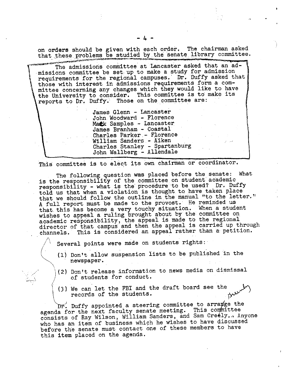on **orders** should be given with each order. The chairman asked that these problems be studied by the senate library committee.

The admissions committee at Lancaster asked that an admissions committee be set up to make a study for admission requirements for the regional campuses. Dr. Duffy asked that those with interest in admissions requirements form a committee concerning any changes which they would like to have the University to consider. This committee is to make its reports to Dr. Duffy. Those on the committee are:

> James Glenn - Lancaster John Woodward - Florence Mack Samples - Lancaster James Branham - Coastal Charles Parker.- Florence William Sanders - Aiken Charles Stanley - Spartanburg John Wallberg - Allendale

This committee is to elect its own chairman or coordinator.

The following question was placed before the senate: What is the responsibility of the committee on student academic responsibility - what is the procedure to be used? Dr. Duffy told us that when a violation is thought to have taken place that we should follow the outline in the manual "to the letter." <sup>A</sup>full report must be made to the provost. He reminded us that this has become a very touchy situation. When a student wishes to appeal a ruling brought about by the committee on academic responsibility, the appeal is made to the regional director of that campus and then the appeal is carried up through channels. This is considered an appeal rather than a petition.

Several points were made on students rights:

 $\mathbf \zeta$  $\bigwedge$ 

*j\* 

- (1) Don't allow suspension lists to be published in the newspaper.
- \(2) Don't release information to news media on dismissal of students for conduct.
- (3) We can let the FBI and the draft board see the records of the students.

 $\overline{\text{Dr}}$ . Duffy appointed a steering committee to arra $\not{\hspace{-.1cm}q}$ ge the agenda for the next faculty senate meeting. This committee consists of Ray Wilson, William Sanders, and Sam Creely... Anyone who has an item of business which he wishes to have discussed before the senate must contact one of these members to have this item placed on the agenda.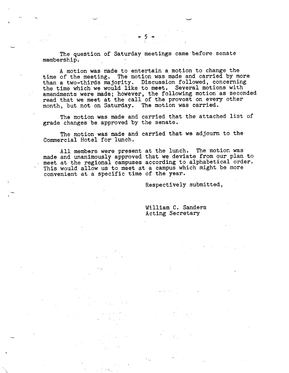- 5 -

A motion was made to entertain a motion to change the time of the meeting. The motion was made and carried by more than a two-thirds majority. Discussion followed, concerning the time which we would like to meet. Several motions with amendments were made; however, the following motion as seconded read that we meet at the call of the provost on every other month, but not on Saturday. The motion was carried.

The motion was made and carried that the attached list of grade changes be approved by the senate.

The motion was made and carried that we adjourn to the Commercial Hotel for' lunch.

All members were present at the lunch. The motion was made and unanimously approved that **we** deviate from our plan to made and dimanimodely upproved shaw we deviated incorporation. This would allow us to meet at a campus which might be more convenient at a specific time of the year.

Respectively submitted,

## William C. Sanders Acting Secretary

 $\mathcal{A}_1 \subset \mathcal{A}_2$  .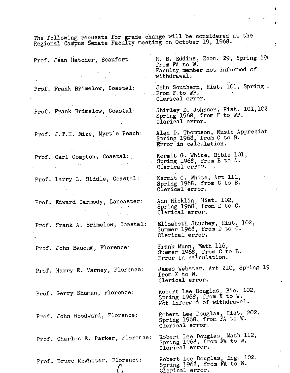Regional Campus Senate Faculty meeting on October 19, 1968. H. B. Eddins, Econ. 29, Spring 196 Prof. Jean Hatcher, Beaufort: from FA to W.  $\label{eq:2.1} \frac{1}{2} \left( \frac{1}{2} \left( \frac{1}{2} \right) \frac{1}{2} \right) \frac{1}{2} \left( \frac{1}{2} \left( \frac{1}{2} \right) \frac{1}{2} \right) \left( \frac{1}{2} \left( \frac{1}{2} \right) \frac{1}{2} \right) \frac{1}{2} \left( \frac{1}{2} \right) \frac{1}{2} \left( \frac{1}{2} \right) \frac{1}{2} \left( \frac{1}{2} \right) \frac{1}{2} \left( \frac{1}{2} \right) \frac{1}{2} \left( \frac{1}{2} \$ Faculty member not informed of withdrawal. John Southern, Hist. 101, Spring Prof. Frank Brimelow, Coastal: From F.to WP. Clerical error. Shirley D. Johnson, Hist. 101,102 Prof. Frank Brimelow, Coastal: Spring 1968, from F to WP. Clerical error. Alan D. Thompson, Music Appreciat Prof. J.T.H. Mize, Myrtle Beach: Spring 1968, from C to B. Error in calculation. Kermit G, White, Bible 101, Prof. Carl Compton, Coastal: Spring 1968, from B to A. Clerical error. Kermit G. White, Art 111, Prof. Larry L. Biddle, Coastal: Spring 1968, from C to B. Clerical error. Ann Hicklin, Hist. 102, Prof. Edward Carmody, Lancaster: Spring 1968, from D to C. Clerical error. Elizabeth Stuchey, Hist. 102, Prof. Frank A. Brimelow, Coastal: Summer 1968, from D to C. Clerical error, Frank Munn, Math 116, Prof. John Baucum, Florence: Summer 1968, from C to B. Error in calculation. James Webster, Art 210, Spring lS Prof. Harry E. Varney, Florence: from X to W. Clerical error. Robert Lee Douglas, Bio. 102, Prof. Gerry Shuman, Florence: Spring 1968, from X to W. Not informed of withdrawal. Robert Lee Douglas, Hist. 202, Prof. John Woodward, Florence: Spring 1968, from FA to W. Clerical error. Robert Lee Douglas, Math 112, Prof. Charles E. Parker, Florence: Spring 1968, from FA to W. Clerical error. Robert Lee Douglas, Eng. 102, Prof. Bruce McWhoter, Florence: Spring 1968, from FA to W.  $\mathcal{C}$ 

Clerical error.

The following requests for grade change will be considered at the